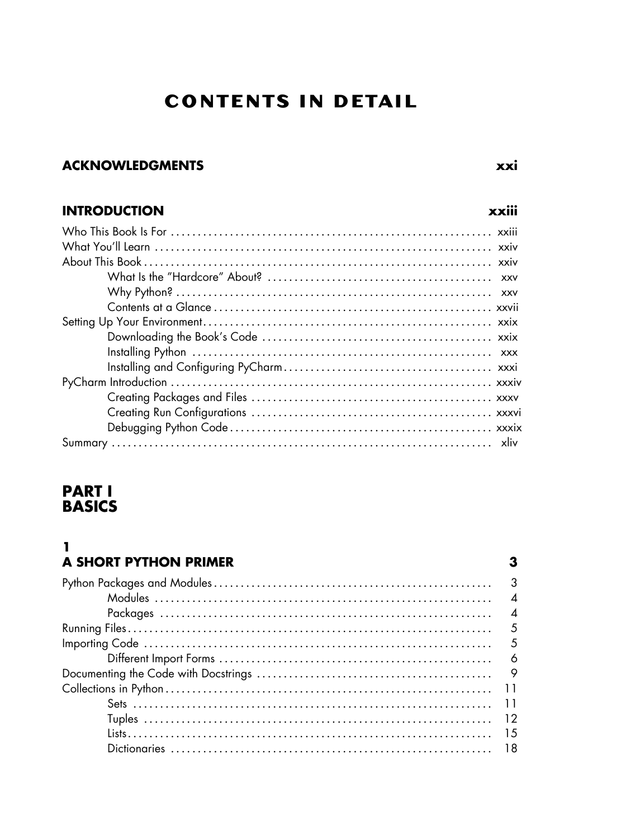# **CONTENTS IN DETAIL**

# **ACKNOWLEDGMENTS**

# **INTRODUCTION**

# **PART I BASICS**

### $\mathbf{1}$ A SHORT PYTHON PRIMER

| $\mathcal{R}$            |
|--------------------------|
| $\boldsymbol{\Lambda}$   |
| $\boldsymbol{\varDelta}$ |
| .5                       |
| - 5                      |
|                          |
|                          |
|                          |
|                          |
|                          |
|                          |
|                          |

xxiii

 $\mathbf{3}$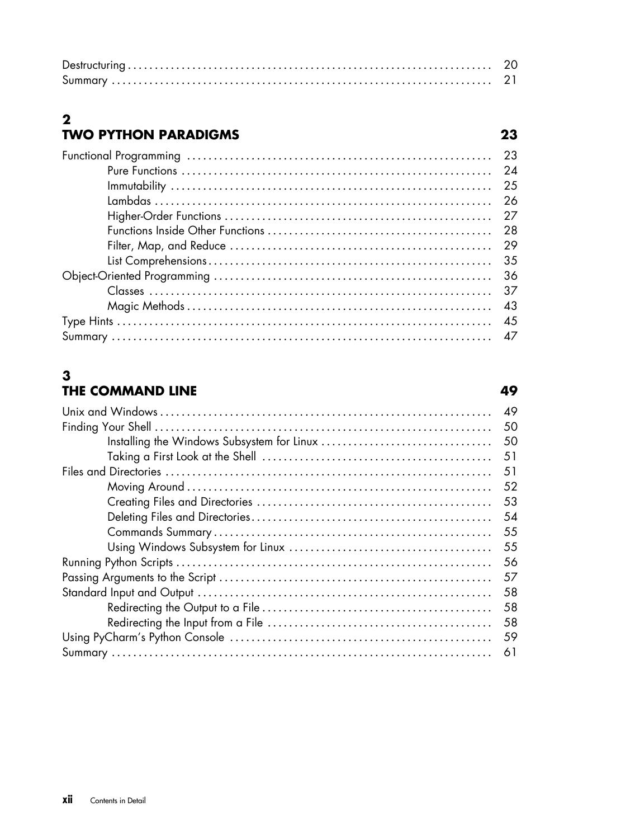# 2<br>TWO PYTHON PARADIGMS

| - 26 |
|------|
|      |
|      |
| - 29 |
| -35  |
| -36  |
|      |
| -43  |
|      |
|      |

# $\mathbf{3}$ THE COMMAND LINE

| 49 |
|----|
| 50 |
| 50 |
| 51 |
|    |
| 51 |
| 52 |
| 53 |
| 54 |
| 55 |
| 55 |
| 56 |
| 57 |
| 58 |
| 58 |
| 58 |
| 59 |
| 61 |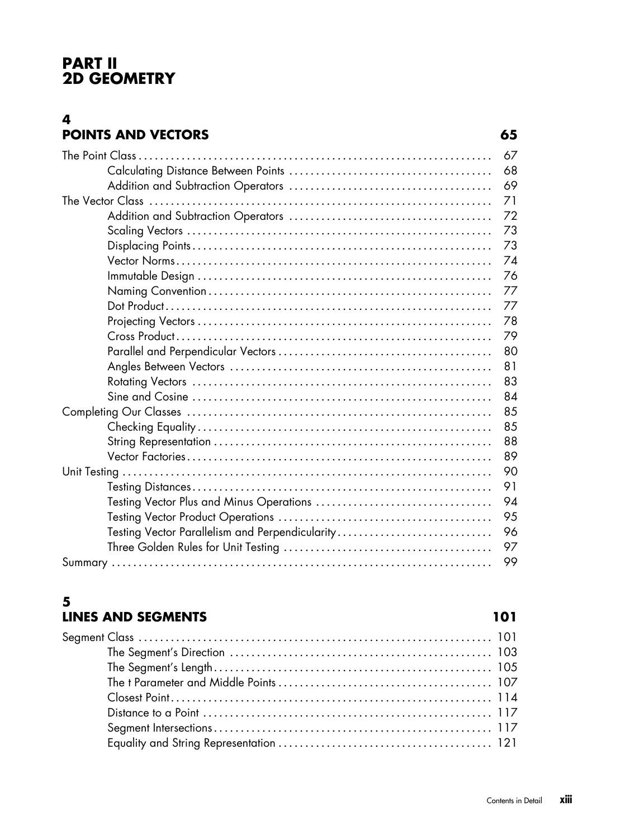# **PART II 2D GEOMETRY**

## **4 POINTS AND VECTORS 65**

|                                                 | 67 |
|-------------------------------------------------|----|
|                                                 | 68 |
|                                                 | 69 |
|                                                 |    |
|                                                 | 72 |
|                                                 | 73 |
|                                                 | 73 |
|                                                 | 74 |
|                                                 | 76 |
|                                                 | 77 |
|                                                 | 77 |
|                                                 | 78 |
|                                                 | 79 |
|                                                 | 80 |
|                                                 | 81 |
|                                                 | 83 |
|                                                 | 84 |
|                                                 | 85 |
|                                                 | 85 |
|                                                 | 88 |
|                                                 | 89 |
|                                                 | 90 |
|                                                 | 91 |
| Testing Vector Plus and Minus Operations        | 94 |
|                                                 | 95 |
| Testing Vector Parallelism and Perpendicularity | 96 |
|                                                 | 97 |
|                                                 | 99 |
|                                                 |    |

### **5 LINES AND SEGMENTS 101**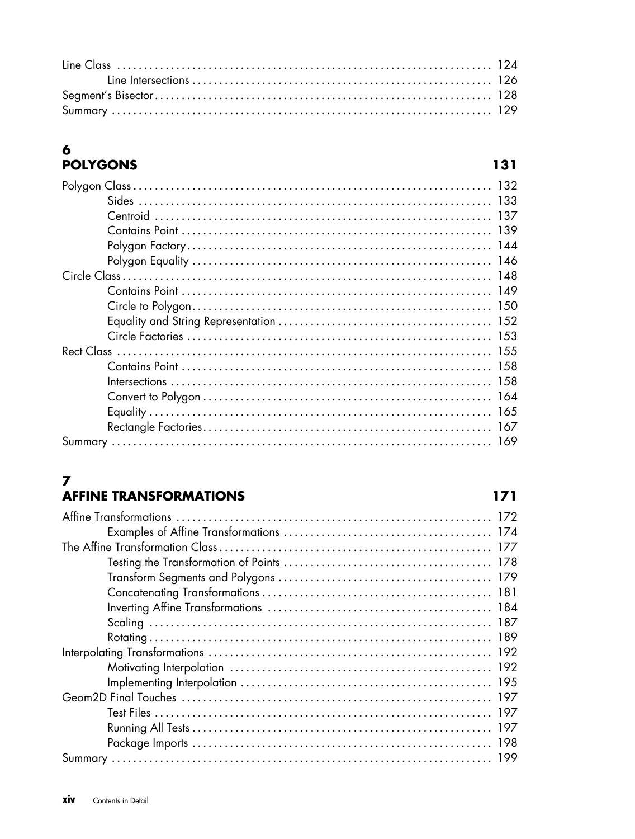# 6<br>POLYGONS

| <b>POLYGONS</b> | 131 |
|-----------------|-----|
|                 |     |
|                 |     |
|                 | 137 |
|                 |     |
|                 |     |
|                 |     |
|                 |     |
|                 |     |
|                 |     |
|                 |     |
|                 |     |
|                 |     |
|                 |     |
|                 |     |
|                 |     |
|                 |     |
|                 |     |
|                 | 169 |

### $\overline{7}$ **AFFINE TRANSFORMATIONS**

| 197 |
|-----|
|     |
|     |
|     |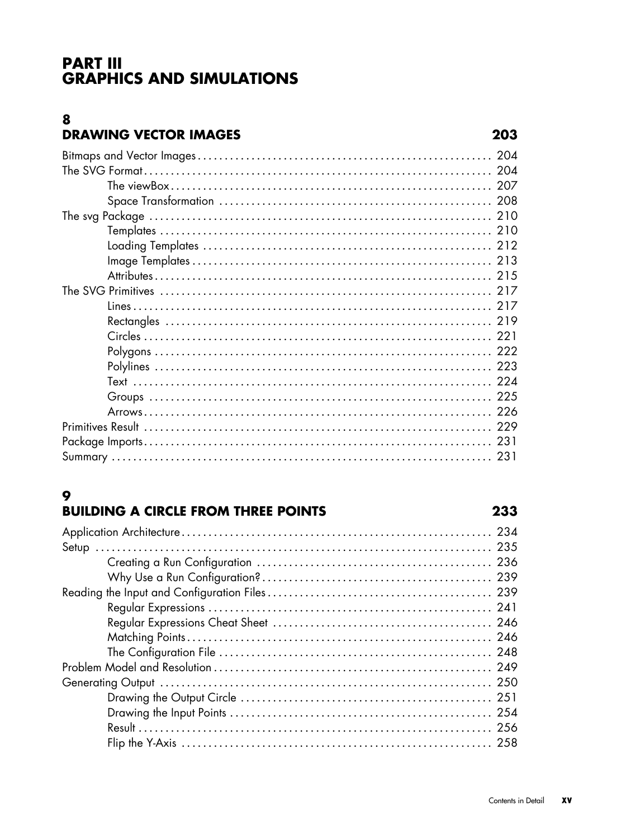# **PART III GRAPHICS AND SIMULATIONS**

### 8 **DRAWING VECTOR IMAGES**

# 9

# **BUILDING A CIRCLE FROM THREE POINTS**

| 241 |
|-----|
|     |
|     |
|     |
|     |
|     |
| 251 |
|     |
|     |
|     |
|     |

# 203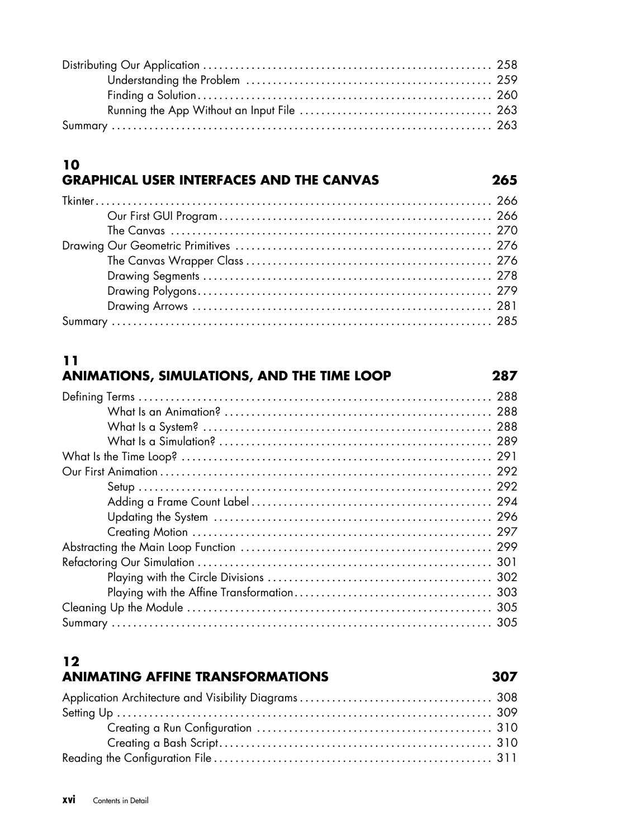## **10 GRAPHICAL USER INTERFACES AND THE CANVAS 265**

# **11 ANIMATIONS, SIMULATIONS, AND THE TIME LOOP 287**

# **12 ANIMATING AFFINE TRANSFORMATIONS 307**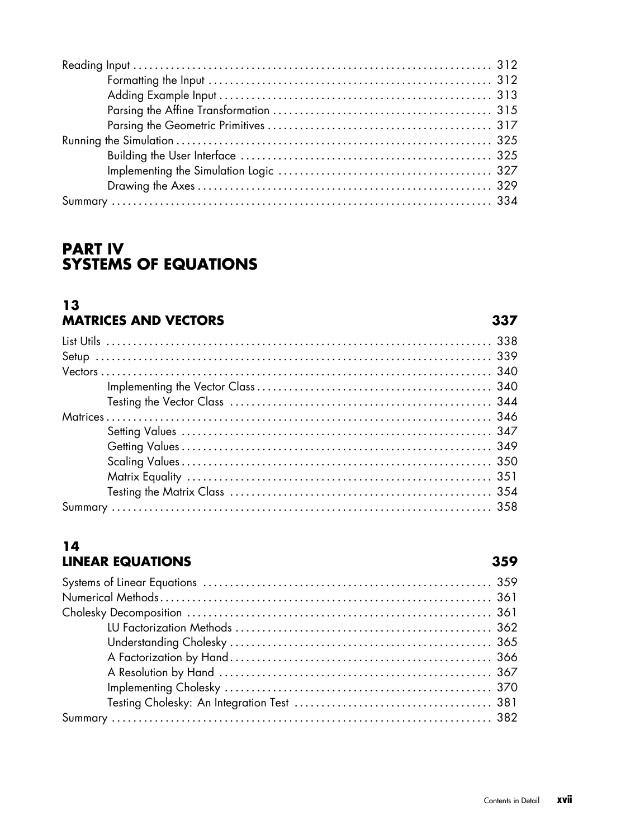| Contents in Detail |  |
|--------------------|--|

xvii

| 14 |                         |  |
|----|-------------------------|--|
|    | <b>LINEAR EQUATIONS</b> |  |

# **PART IV SYSTEMS OF EQUATIONS**

### $13$ **MATRICES AND VECTORS**

### 

359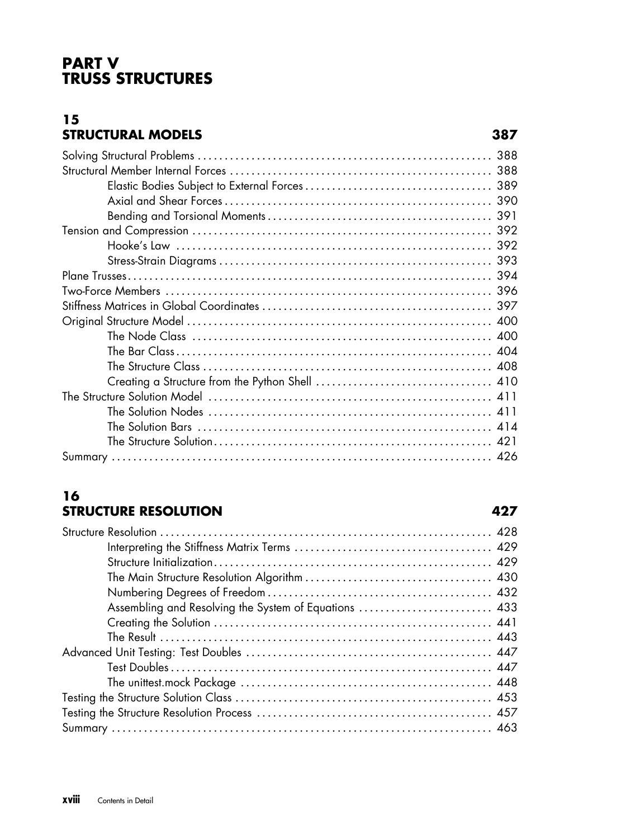# **PART V TRUSS STRUCTURES**

## **15 STRUCTURAL MODELS 387**

| 388 |
|-----|
|     |
|     |
|     |
| 391 |
|     |
|     |
| 393 |
|     |
|     |
|     |
|     |
|     |
|     |
|     |
|     |
|     |
|     |
|     |
|     |
|     |

# **16 STRUCTURE RESOLUTION 427**

| Assembling and Resolving the System of Equations  433 |  |
|-------------------------------------------------------|--|
|                                                       |  |
|                                                       |  |
|                                                       |  |
|                                                       |  |
|                                                       |  |
|                                                       |  |
|                                                       |  |
|                                                       |  |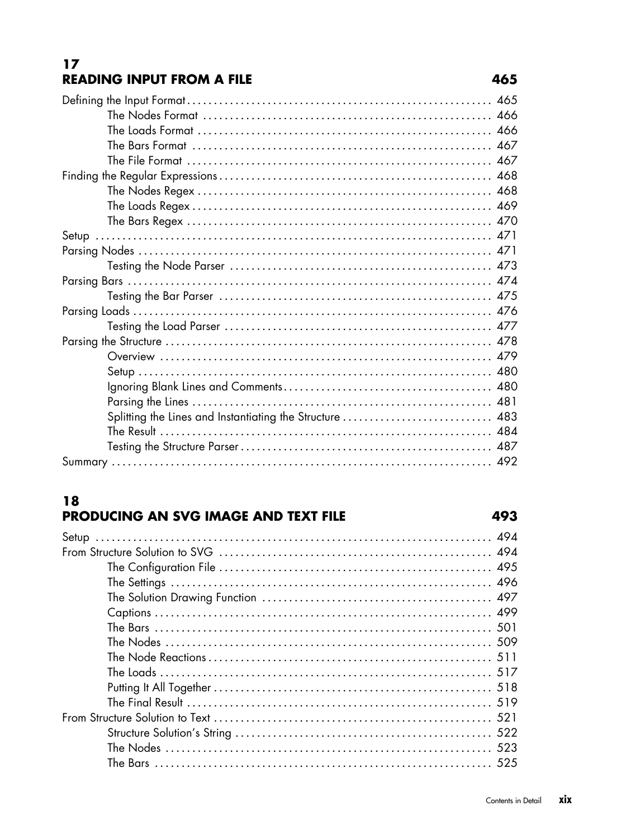# $17$ **READING INPUT FROM A FILE**

| Splitting the Lines and Instantiating the Structure  483 |  |
|----------------------------------------------------------|--|
|                                                          |  |
|                                                          |  |
|                                                          |  |
|                                                          |  |

# 18

# PRODUCING AN SVG IMAGE AND TEXT FILE

# 465